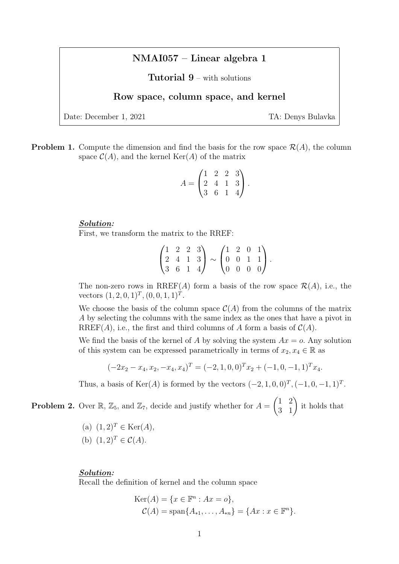# NMAI057 – Linear algebra 1

Tutorial 9 – with solutions

# Row space, column space, and kernel

Date: December 1, 2021 TA: Denys Bulavka

**Problem 1.** Compute the dimension and find the basis for the row space  $\mathcal{R}(A)$ , the column space  $\mathcal{C}(A)$ , and the kernel Ker(A) of the matrix

$$
A = \begin{pmatrix} 1 & 2 & 2 & 3 \\ 2 & 4 & 1 & 3 \\ 3 & 6 & 1 & 4 \end{pmatrix}.
$$

#### Solution:

First, we transform the matrix to the RREF:

$$
\begin{pmatrix} 1 & 2 & 2 & 3 \ 2 & 4 & 1 & 3 \ 3 & 6 & 1 & 4 \end{pmatrix} \sim \begin{pmatrix} 1 & 2 & 0 & 1 \ 0 & 0 & 1 & 1 \ 0 & 0 & 0 & 0 \end{pmatrix}.
$$

The non-zero rows in RREF(A) form a basis of the row space  $\mathcal{R}(A)$ , i.e., the vectors  $(1, 2, 0, 1)^T$ ,  $(0, 0, 1, 1)^T$ .

We choose the basis of the column space  $\mathcal{C}(A)$  from the columns of the matrix A by selecting the columns with the same index as the ones that have a pivot in RREF(A), i.e., the first and third columns of A form a basis of  $C(A)$ .

We find the basis of the kernel of A by solving the system  $Ax = o$ . Any solution of this system can be expressed parametrically in terms of  $x_2, x_4 \in \mathbb{R}$  as

$$
(-2x_2 - x_4, x_2, -x_4, x_4)^T = (-2, 1, 0, 0)^T x_2 + (-1, 0, -1, 1)^T x_4.
$$

Thus, a basis of Ker(A) is formed by the vectors  $(-2, 1, 0, 0)^T, (-1, 0, -1, 1)^T$ .

**Problem 2.** Over  $\mathbb{R}$ ,  $\mathbb{Z}_5$ , and  $\mathbb{Z}_7$ , decide and justify whether for  $A = \begin{pmatrix} 1 & 2 \\ 3 & 1 \end{pmatrix}$  it holds that

(a)  $(1, 2)^T \in \text{Ker}(A)$ , (b)  $(1, 2)^T \in C(A)$ .

#### Solution:

Recall the definition of kernel and the column space

$$
Ker(A) = \{x \in \mathbb{F}^n : Ax = o\},
$$
  

$$
C(A) = span\{A_{*1}, \dots, A_{*n}\} = \{Ax : x \in \mathbb{F}^n\}.
$$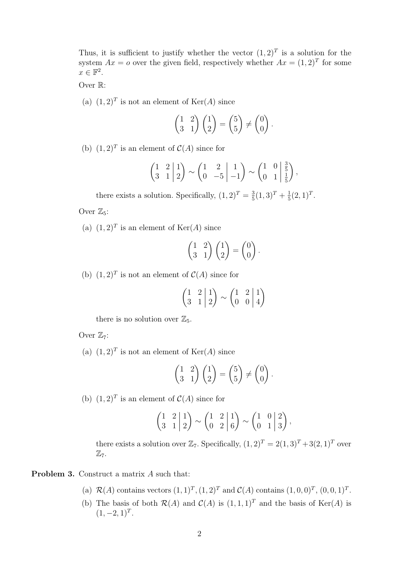Thus, it is sufficient to justify whether the vector  $(1,2)^T$  is a solution for the system  $Ax = o$  over the given field, respectively whether  $Ax = (1,2)^T$  for some  $x \in \mathbb{F}^2$ .

Over R:

(a)  $(1,2)^T$  is not an element of  $\text{Ker}(A)$  since

$$
\begin{pmatrix} 1 & 2 \ 3 & 1 \end{pmatrix} \begin{pmatrix} 1 \ 2 \end{pmatrix} = \begin{pmatrix} 5 \ 5 \end{pmatrix} \neq \begin{pmatrix} 0 \ 0 \end{pmatrix}.
$$

(b)  $(1,2)^T$  is an element of  $\mathcal{C}(A)$  since for

$$
\begin{pmatrix} 1 & 2 & 1 \ 3 & 1 & 2 \end{pmatrix} \sim \begin{pmatrix} 1 & 2 & 1 \ 0 & -5 & -1 \end{pmatrix} \sim \begin{pmatrix} 1 & 0 & \frac{3}{5} \\ 0 & 1 & \frac{1}{5} \end{pmatrix},
$$

there exists a solution. Specifically,  $(1, 2)^T = \frac{3}{5}$  $\frac{3}{5}(1,3)^{T}+\frac{1}{5}$  $\frac{1}{5}(2,1)^T$ .

Over  $\mathbb{Z}_5$ :

(a)  $(1,2)^T$  is an element of Ker(A) since

$$
\begin{pmatrix} 1 & 2 \\ 3 & 1 \end{pmatrix} \begin{pmatrix} 1 \\ 2 \end{pmatrix} = \begin{pmatrix} 0 \\ 0 \end{pmatrix}.
$$

(b)  $(1,2)^T$  is not an element of  $\mathcal{C}(A)$  since for

$$
\begin{pmatrix} 1 & 2 & 1 \ 3 & 1 & 2 \end{pmatrix} \sim \begin{pmatrix} 1 & 2 & 1 \ 0 & 0 & 4 \end{pmatrix}
$$

there is no solution over  $\mathbb{Z}_5$ .

Over  $\mathbb{Z}_7$ :

(a)  $(1,2)^T$  is not an element of  $\text{Ker}(A)$  since

$$
\begin{pmatrix} 1 & 2 \\ 3 & 1 \end{pmatrix} \begin{pmatrix} 1 \\ 2 \end{pmatrix} = \begin{pmatrix} 5 \\ 5 \end{pmatrix} \neq \begin{pmatrix} 0 \\ 0 \end{pmatrix}.
$$

(b)  $(1,2)^T$  is an element of  $\mathcal{C}(A)$  since for

$$
\begin{pmatrix} 1 & 2 & 1 \ 3 & 1 & 2 \end{pmatrix} \sim \begin{pmatrix} 1 & 2 & 1 \ 0 & 2 & 6 \end{pmatrix} \sim \begin{pmatrix} 1 & 0 & 2 \ 0 & 1 & 3 \end{pmatrix},
$$

there exists a solution over  $\mathbb{Z}_7$ . Specifically,  $(1, 2)^T = 2(1, 3)^T + 3(2, 1)^T$  over  $\mathbb{Z}_7$ .

Problem 3. Construct a matrix A such that:

- (a)  $\mathcal{R}(A)$  contains vectors  $(1, 1)^T$ ,  $(1, 2)^T$  and  $\mathcal{C}(A)$  contains  $(1, 0, 0)^T$ ,  $(0, 0, 1)^T$ .
- (b) The basis of both  $\mathcal{R}(A)$  and  $\mathcal{C}(A)$  is  $(1, 1, 1)^T$  and the basis of Ker(A) is  $(1, -2, 1)^T$ .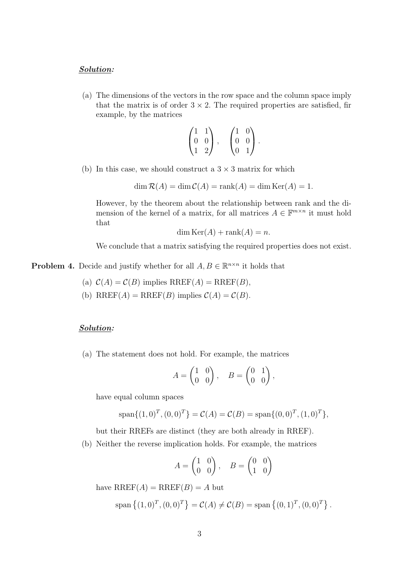#### Solution:

(a) The dimensions of the vectors in the row space and the column space imply that the matrix is of order  $3 \times 2$ . The required properties are satisfied, fir example, by the matrices

$$
\begin{pmatrix} 1 & 1 \ 0 & 0 \ 1 & 2 \end{pmatrix}, \quad \begin{pmatrix} 1 & 0 \ 0 & 0 \ 0 & 1 \end{pmatrix}.
$$

(b) In this case, we should construct a  $3 \times 3$  matrix for which

 $\dim \mathcal{R}(A) = \dim \mathcal{C}(A) = \text{rank}(A) = \dim \text{Ker}(A) = 1.$ 

However, by the theorem about the relationship between rank and the dimension of the kernel of a matrix, for all matrices  $A \in \mathbb{F}^{m \times n}$  it must hold that

$$
\dim \text{Ker}(A) + \text{rank}(A) = n.
$$

We conclude that a matrix satisfying the required properties does not exist.

**Problem 4.** Decide and justify whether for all  $A, B \in \mathbb{R}^{n \times n}$  it holds that

- (a)  $C(A) = C(B)$  implies  $RREF(A) = RREF(B)$ ,
- (b) RREF(A) = RREF(B) implies  $C(A) = C(B)$ .

### Solution:

(a) The statement does not hold. For example, the matrices

$$
A = \begin{pmatrix} 1 & 0 \\ 0 & 0 \end{pmatrix}, \quad B = \begin{pmatrix} 0 & 1 \\ 0 & 0 \end{pmatrix},
$$

have equal column spaces

$$
\text{span}\{(1,0)^T, (0,0)^T\} = \mathcal{C}(A) = \mathcal{C}(B) = \text{span}\{(0,0)^T, (1,0)^T\},\
$$

but their RREFs are distinct (they are both already in RREF).

(b) Neither the reverse implication holds. For example, the matrices

$$
A = \begin{pmatrix} 1 & 0 \\ 0 & 0 \end{pmatrix}, \quad B = \begin{pmatrix} 0 & 0 \\ 1 & 0 \end{pmatrix}
$$

have  $RREF(A)=RREF(B)=A$  but

span 
$$
\{(1,0)^T, (0,0)^T\}
$$
 =  $C(A) \neq C(B)$  = span  $\{(0,1)^T, (0,0)^T\}$ .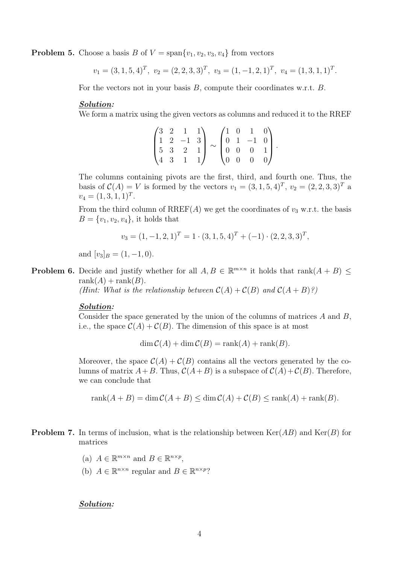**Problem 5.** Choose a basis B of  $V = \text{span}\{v_1, v_2, v_3, v_4\}$  from vectors

$$
v_1 = (3, 1, 5, 4)^T
$$
,  $v_2 = (2, 2, 3, 3)^T$ ,  $v_3 = (1, -1, 2, 1)^T$ ,  $v_4 = (1, 3, 1, 1)^T$ .

For the vectors not in your basis  $B$ , compute their coordinates w.r.t.  $B$ .

#### Solution:

We form a matrix using the given vectors as columns and reduced it to the RREF

|  | $(3 \t2 \t1 \t1)$                                      |    |                                                                                                                                                                      | $\sqrt{1}$ 0                          | $1 \quad 0 \lambda$           |  |
|--|--------------------------------------------------------|----|----------------------------------------------------------------------------------------------------------------------------------------------------------------------|---------------------------------------|-------------------------------|--|
|  |                                                        |    | $\begin{bmatrix} 1 & 2 & -1 & 3 \\ 5 & 3 & 2 & 1 \\ 2 & 3 & 2 & 1 \end{bmatrix} \sim \begin{bmatrix} 0 & 1 & -1 & 0 \\ 0 & 0 & 0 & 1 \\ 0 & 0 & 0 & 2 \end{bmatrix}$ |                                       |                               |  |
|  |                                                        |    |                                                                                                                                                                      |                                       |                               |  |
|  | $\begin{pmatrix} 2 & 3 & 2 \\ 4 & 3 & 1 \end{pmatrix}$ | 1) |                                                                                                                                                                      | $\begin{pmatrix} 0 & 0 \end{pmatrix}$ | $\begin{matrix}0\end{matrix}$ |  |

The columns containing pivots are the first, third, and fourth one. Thus, the basis of  $C(A) = V$  is formed by the vectors  $v_1 = (3, 1, 5, 4)^T$ ,  $v_2 = (2, 2, 3, 3)^T$  a  $v_4 = (1, 3, 1, 1)^T.$ 

From the third column of RREF(A) we get the coordinates of  $v_3$  w.r.t. the basis  $B = \{v_1, v_2, v_4\}$ , it holds that

$$
v_3 = (1, -1, 2, 1)^T = 1 \cdot (3, 1, 5, 4)^T + (-1) \cdot (2, 2, 3, 3)^T,
$$

and  $[v_3]_B = (1, -1, 0)$ .

**Problem 6.** Decide and justify whether for all  $A, B \in \mathbb{R}^{m \times n}$  it holds that rank $(A + B) \leq$  $rank(A) + rank(B)$ .

(Hint: What is the relationship between  $C(A) + C(B)$  and  $C(A + B)$ ?)

## Solution:

Consider the space generated by the union of the columns of matrices  $A$  and  $B$ , i.e., the space  $C(A) + C(B)$ . The dimension of this space is at most

 $\dim \mathcal{C}(A) + \dim \mathcal{C}(B) = \text{rank}(A) + \text{rank}(B).$ 

Moreover, the space  $\mathcal{C}(A) + \mathcal{C}(B)$  contains all the vectors generated by the columns of matrix  $A+B$ . Thus,  $C(A+B)$  is a subspace of  $C(A)+C(B)$ . Therefore, we can conclude that

 $rank(A + B) = dim C(A + B) \le dim C(A) + C(B) \le rank(A) + rank(B).$ 

- **Problem 7.** In terms of inclusion, what is the relationship between  $\text{Ker}(AB)$  and  $\text{Ker}(B)$  for matrices
	- (a)  $A \in \mathbb{R}^{m \times n}$  and  $B \in \mathbb{R}^{n \times p}$ ,
	- (b)  $A \in \mathbb{R}^{n \times n}$  regular and  $B \in \mathbb{R}^{n \times p}$ ?

#### Solution: